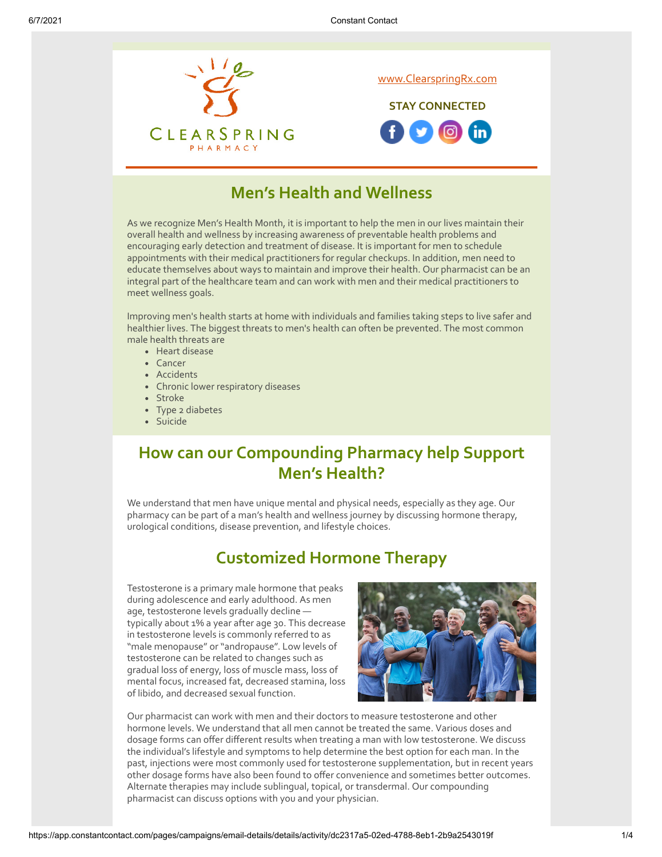

### **Men's Health and Wellness**

As we recognize Men's Health Month, it is important to help the men in our lives maintain their overall health and wellness by increasing awareness of preventable health problems and encouraging early detection and treatment of disease. It is important for men to schedule appointments with their medical practitioners for regular checkups. In addition, men need to educate themselves about ways to maintain and improve their health. Our pharmacist can be an integral part of the healthcare team and can work with men and their medical practitioners to meet wellness goals.

Improving men's health starts at home with individuals and families taking steps to live safer and healthier lives. The biggest threats to men's health can often be prevented. The most common male health threats are

- Heart disease
- Cancer
- Accidents
- Chronic lower respiratory diseases
- Stroke
- Type 2 diabetes
- Suicide

## **How can our Compounding Pharmacy help Support Men's Health?**

We understand that men have unique mental and physical needs, especially as they age. Our pharmacy can be part of a man's health and wellness journey by discussing hormone therapy, urological conditions, disease prevention, and lifestyle choices.

### **Customized Hormone Therapy**

Testosterone is a primary male hormone that peaks during adolescence and early adulthood. As men age, testosterone levels gradually decline typically about 1% a year after age 30. This decrease in testosterone levels is commonly referred to as "male menopause" or "andropause". Low levels of testosterone can be related to changes such as gradual loss of energy, loss of muscle mass, loss of mental focus, increased fat, decreased stamina, loss of libido, and decreased sexual function.



Our pharmacist can work with men and their doctors to measure testosterone and other hormone levels. We understand that all men cannot be treated the same. Various doses and dosage forms can offer different results when treating a man with low testosterone. We discuss the individual's lifestyle and symptoms to help determine the best option for each man. In the past, injections were most commonly used for testosterone supplementation, but in recent years other dosage forms have also been found to offer convenience and sometimes better outcomes. Alternate therapies may include sublingual, topical, or transdermal. Our compounding pharmacist can discuss options with you and your physician.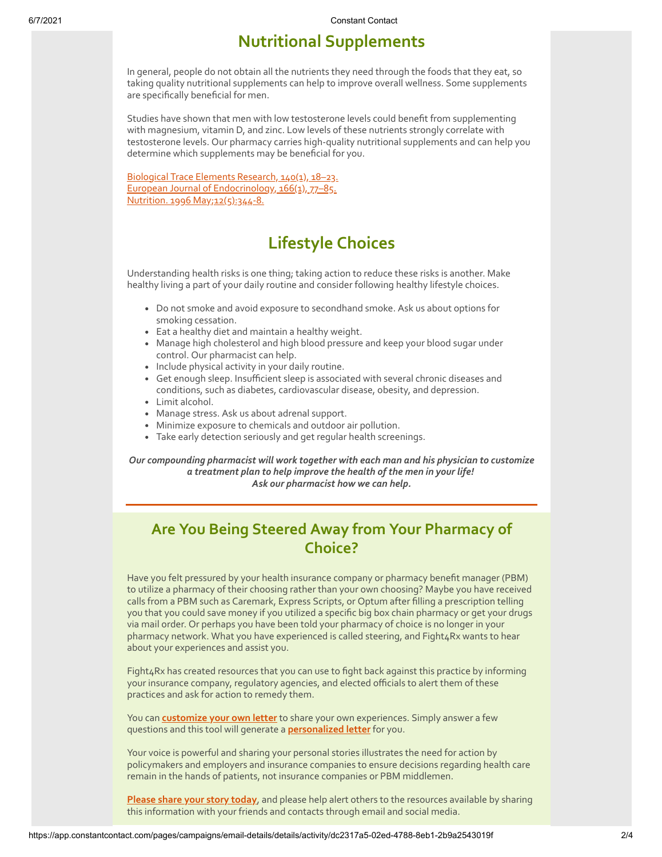# **Nutritional Supplements**

In general, people do not obtain all the nutrients they need through the foods that they eat, so taking quality nutritional supplements can help to improve overall wellness. Some supplements are specifically beneficial for men.

Studies have shown that men with low testosterone levels could benefit from supplementing with magnesium, vitamin D, and zinc. Low levels of these nutrients strongly correlate with testosterone levels. Our pharmacy carries high-quality nutritional supplements and can help you determine which supplements may be beneficial for you.

[Biological Trace Elements Research, 140\(1\), 18–23.](https://doi.org/10.1007/s12011-010-8676-3) European Journal of Endocrinology, 166(1), 77-85. [Nutrition. 1996 May;12\(5\):344-8.](https://www.sciencedirect.com/science/article/abs/pii/S089990079680058X?via%3Dihub)

# **Lifestyle Choices**

Understanding health risks is one thing; taking action to reduce these risks is another. Make healthy living a part of your daily routine and consider following healthy lifestyle choices.

- Do not smoke and avoid exposure to secondhand smoke. Ask us about options for smoking cessation.
- Eat a healthy diet and maintain a healthy weight.
- Manage high cholesterol and high blood pressure and keep your blood sugar under control. Our pharmacist can help.
- Include physical activity in your daily routine.
- Get enough sleep. Insufficient sleep is associated with several chronic diseases and conditions, such as diabetes, cardiovascular disease, obesity, and depression.
- Limit alcohol.
- Manage stress. Ask us about adrenal support.
- Minimize exposure to chemicals and outdoor air pollution.
- Take early detection seriously and get regular health screenings.

*Our compounding pharmacist will work together with each man and his physician to customize a treatment plan to help improve the health of the men in your life! Ask our pharmacist how we can help.*

## **Are You Being Steered Away from Your Pharmacy of Choice?**

Have you felt pressured by your health insurance company or pharmacy benefit manager (PBM) to utilize a pharmacy of their choosing rather than your own choosing? Maybe you have received calls from a PBM such as Caremark, Express Scripts, or Optum after filling a prescription telling you that you could save money if you utilized a specific big box chain pharmacy or get your drugs via mail order. Or perhaps you have been told your pharmacy of choice is no longer in your pharmacy network. What you have experienced is called steering, and Fight4Rx wants to hear about your experiences and assist you.

Fight4Rx has created resources that you can use to fight back against this practice by informing your insurance company, regulatory agencies, and elected officials to alert them of these practices and ask for action to remedy them.

You can **[customize your own letter](https://p2a.co/4cLjkmv)** to share your own experiences. Simply answer a few questions and this tool will generate a **[personalized letter](https://p2a.co/4cLjkmv)** for you.

Your voice is powerful and sharing your personal stories illustrates the need for action by policymakers and employers and insurance companies to ensure decisions regarding health care remain in the hands of patients, not insurance companies or PBM middlemen.

**[Please share your story today](https://p2a.co/4cLjkmv)**, and please help alert others to the resources available by sharing this information with your friends and contacts through email and social media.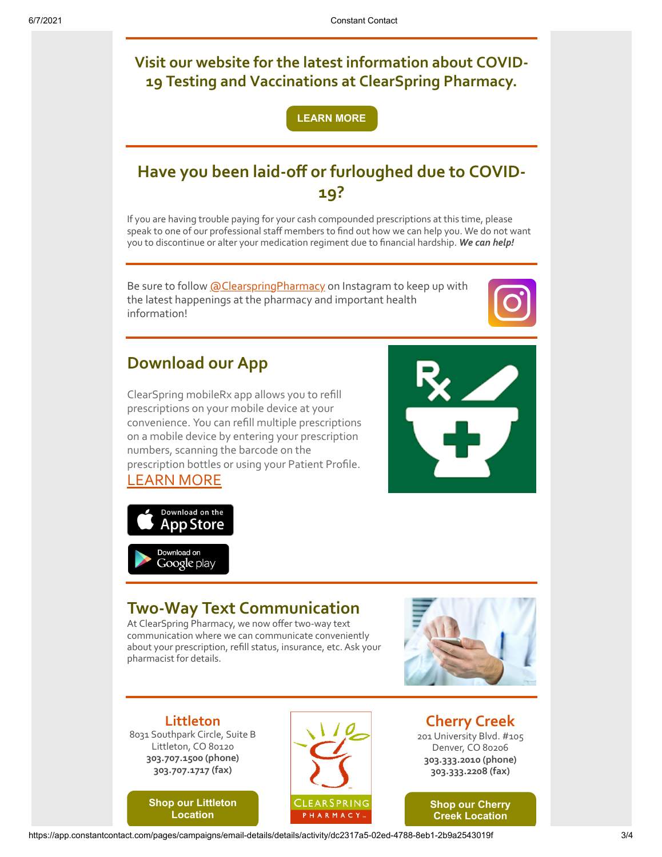**Visit our website for the latest information about COVID-19 Testing and Vaccinations at ClearSpring Pharmacy.**

**[LEARN MORE](https://clearspringrx.com/covid-19.php)**

# **Have you been laid-off or furloughed due to COVID-19?**

If you are having trouble paying for your cash compounded prescriptions at this time, please speak to one of our professional staff members to find out how we can help you. We do not want you to discontinue or alter your medication regiment due to financial hardship. *We can help!*

Be sure to follow [@ClearspringPharmacy](https://www.instagram.com/clearspringpharmacy/) on Instagram to keep up with the latest happenings at the pharmacy and important health information!



## **Download our App**

ClearSpring mobileRx app allows you to refill prescriptions on your mobile device at your convenience. You can refill multiple prescriptions on a mobile device by entering your prescription numbers, scanning the barcode on the prescription bottles or using your Patient Profile. [LEARN MORE](https://clearspringrx.com/app.php)





### **Two-Way Text Communication**

At ClearSpring Pharmacy, we now offer two-way text communication where we can communicate conveniently about your prescription, refill status, insurance, etc. Ask your pharmacist for details.



**Littleton** 8031 Southpark Circle, Suite B Littleton, CO 80120 **303.707.1500 (phone) 303.707.1717 (fax)**

> **[Shop our Littleton](https://www.pointy.com/shops/usa/colorado/littleton/clearspring-pharmacy-littleton?utm_source=+Patient+Newsletter+-+July+2018&utm_campaign=Patient+-+July+2018&utm_medium=email) Location**



**Cherry Creek** 201 University Blvd. #105 Denver, CO 80206 **303.333.2010 (phone) 303.333.2208 (fax)**



https://app.constantcontact.com/pages/campaigns/email-details/details/activity/dc2317a5-02ed-4788-8eb1-2b9a2543019f 3/4